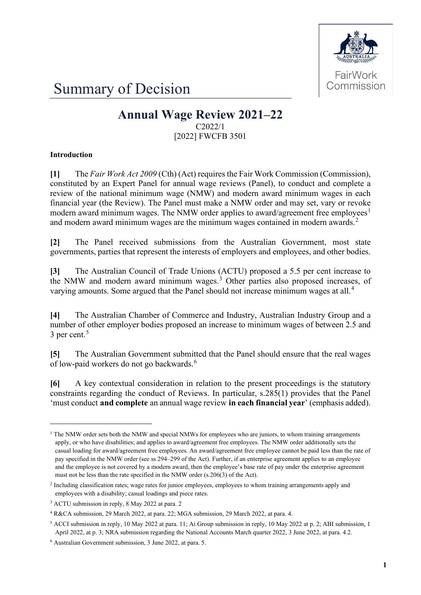

Summary of Decision

# **Annual Wage Review 2021–22** C2022/1

[2022] FWCFB 3501

### **Introduction**

**[1]** The *Fair Work Act 2009* (Cth) (Act) requires the Fair Work Commission (Commission), constituted by an Expert Panel for annual wage reviews (Panel), to conduct and complete a review of the national minimum wage (NMW) and modern award minimum wages in each financial year (the Review). The Panel must make a NMW order and may set, vary or revoke modern award minimum wages. The NMW order applies to award/agreement free employees<sup>[1](#page-0-0)</sup> and modern award minimum wages are the minimum wages contained in modern awards.<sup>[2](#page-0-1)</sup>

**[2]** The Panel received submissions from the Australian Government, most state governments, parties that represent the interests of employers and employees, and other bodies.

**[3]** The Australian Council of Trade Unions (ACTU) proposed a 5.5 per cent increase to the NMW and modern award minimum wages. [3](#page-0-2) Other parties also proposed increases, of varying amounts. Some argued that the Panel should not increase minimum wages at all.<sup>[4](#page-0-3)</sup>

**[4]** The Australian Chamber of Commerce and Industry, Australian Industry Group and a number of other employer bodies proposed an increase to minimum wages of between 2.5 and 3 per cent. [5](#page-0-4)

**[5]** The Australian Government submitted that the Panel should ensure that the real wages of low-paid workers do not go backwards.<sup>[6](#page-0-5)</sup>

**[6]** A key contextual consideration in relation to the present proceedings is the statutory constraints regarding the conduct of Reviews. In particular, s.285(1) provides that the Panel 'must conduct **and complete** an annual wage review **in each financial year**' (emphasis added).

<span id="page-0-0"></span><sup>&</sup>lt;sup>1</sup> The NMW order sets both the NMW and special NMWs for employees who are juniors, to whom training arrangements apply, or who have disabilities; and applies to award/agreement free employees. The NMW order additionally sets the casual loading for award/agreement free employees. An award/agreement free employee cannot be paid less than the rate of pay specified in the NMW order (see ss 294–299 of the Act). Further, if an enterprise agreement applies to an employee and the employee is not covered by a modern award, then the employee's base rate of pay under the enterprise agreement must not be less than the rate specified in the NMW order (s.206(3) of the Act).

<span id="page-0-1"></span><sup>2</sup> Including classification rates; wage rates for junior employees, employees to whom training arrangements apply and employees with a disability; casual loadings and piece rates.

<span id="page-0-2"></span><sup>3</sup> ACTU submission in reply, 8 May 2022 at para. 2

<span id="page-0-3"></span><sup>4</sup> R&CA submission, 29 March 2022, at para. 22; MGA submission, 29 March 2022, at para. 4.

<span id="page-0-4"></span><sup>5</sup> ACCI submission in reply, 10 May 2022 at para. 11; Ai Group submission in reply, 10 May 2022 at p. 2; ABI submission, 1 April 2022, at p. 3; NRA submission regarding the National Accounts March quarter 2022, 3 June 2022, at para. 4.2.

<span id="page-0-5"></span><sup>6</sup> Australian Government submission, 3 June 2022, at para. 5.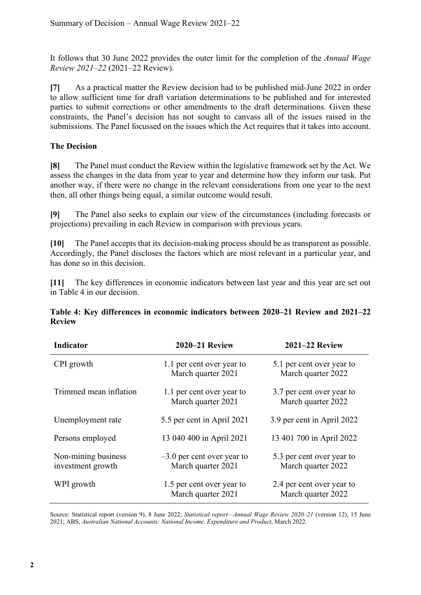It follows that 30 June 2022 provides the outer limit for the completion of the *Annual Wage Review 2021–22* (2021–22 Review).

**[7]** As a practical matter the Review decision had to be published mid-June 2022 in order to allow sufficient time for draft variation determinations to be published and for interested parties to submit corrections or other amendments to the draft determinations. Given these constraints, the Panel's decision has not sought to canvass all of the issues raised in the submissions. The Panel focussed on the issues which the Act requires that it takes into account.

### **The Decision**

**[8]** The Panel must conduct the Review within the legislative framework set by the Act. We assess the changes in the data from year to year and determine how they inform our task. Put another way, if there were no change in the relevant considerations from one year to the next then, all other things being equal, a similar outcome would result.

**[9]** The Panel also seeks to explain our view of the circumstances (including forecasts or projections) prevailing in each Review in comparison with previous years.

**[10]** The Panel accepts that its decision-making process should be as transparent as possible. Accordingly, the Panel discloses the factors which are most relevant in a particular year, and has done so in this decision.

**[11]** The key differences in economic indicators between last year and this year are set out in Table 4 in our decision.

|               | Table 4: Key differences in economic indicators between 2020–21 Review and 2021–22 |  |  |  |  |  |
|---------------|------------------------------------------------------------------------------------|--|--|--|--|--|
| <b>Review</b> |                                                                                    |  |  |  |  |  |

| <b>Indicator</b>                         | 2020–21 Review                                     | <b>2021-22 Review</b>                           |
|------------------------------------------|----------------------------------------------------|-------------------------------------------------|
| CPI growth                               | 1.1 per cent over year to<br>March quarter 2021    | 5.1 per cent over year to<br>March quarter 2022 |
| Trimmed mean inflation                   | 1.1 per cent over year to<br>March quarter 2021    | 3.7 per cent over year to<br>March quarter 2022 |
| Unemployment rate                        | 5.5 per cent in April 2021                         | 3.9 per cent in April 2022                      |
| Persons employed                         | 13 040 400 in April 2021                           | 13 401 700 in April 2022                        |
| Non-mining business<br>investment growth | $-3.0$ per cent over year to<br>March quarter 2021 | 5.3 per cent over year to<br>March quarter 2022 |
| WPI growth                               | 1.5 per cent over year to<br>March quarter 2021    | 2.4 per cent over year to<br>March quarter 2022 |

Source: Statistical report (version 9), 8 June 2022; *Statistical report—Annual Wage Review 2020–21* (version 12), 15 June 2021; ABS, *Australian National Accounts: National Income, Expenditure and Product*, March 2022.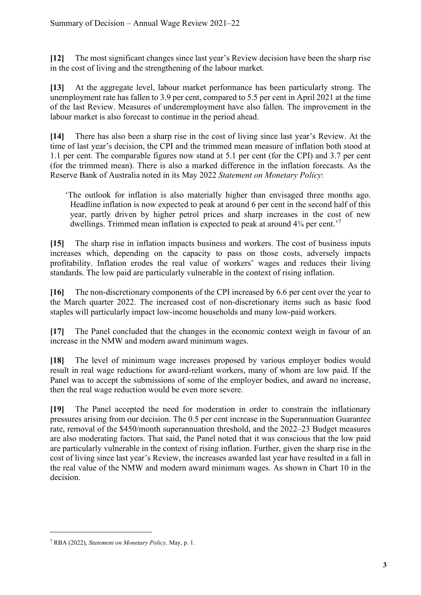**[12]** The most significant changes since last year's Review decision have been the sharp rise in the cost of living and the strengthening of the labour market.

**[13]** At the aggregate level, labour market performance has been particularly strong. The unemployment rate has fallen to 3.9 per cent, compared to 5.5 per cent in April 2021 at the time of the last Review. Measures of underemployment have also fallen. The improvement in the labour market is also forecast to continue in the period ahead.

**[14]** There has also been a sharp rise in the cost of living since last year's Review. At the time of last year's decision, the CPI and the trimmed mean measure of inflation both stood at 1.1 per cent. The comparable figures now stand at 5.1 per cent (for the CPI) and 3.7 per cent (for the trimmed mean). There is also a marked difference in the inflation forecasts. As the Reserve Bank of Australia noted in its May 2022 *Statement on Monetary Policy*:

'The outlook for inflation is also materially higher than envisaged three months ago. Headline inflation is now expected to peak at around 6 per cent in the second half of this year, partly driven by higher petrol prices and sharp increases in the cost of new dwellings. Trimmed mean inflation is expected to peak at around 4¾ per cent.'[7](#page-2-0)

**[15]** The sharp rise in inflation impacts business and workers. The cost of business inputs increases which, depending on the capacity to pass on those costs, adversely impacts profitability. Inflation erodes the real value of workers' wages and reduces their living standards. The low paid are particularly vulnerable in the context of rising inflation.

**[16]** The non-discretionary components of the CPI increased by 6.6 per cent over the year to the March quarter 2022. The increased cost of non-discretionary items such as basic food staples will particularly impact low-income households and many low-paid workers.

**[17]** The Panel concluded that the changes in the economic context weigh in favour of an increase in the NMW and modern award minimum wages.

**[18]** The level of minimum wage increases proposed by various employer bodies would result in real wage reductions for award-reliant workers, many of whom are low paid. If the Panel was to accept the submissions of some of the employer bodies, and award no increase, then the real wage reduction would be even more severe.

**[19]** The Panel accepted the need for moderation in order to constrain the inflationary pressures arising from our decision. The 0.5 per cent increase in the Superannuation Guarantee rate, removal of the \$450/month superannuation threshold, and the 2022–23 Budget measures are also moderating factors. That said, the Panel noted that it was conscious that the low paid are particularly vulnerable in the context of rising inflation. Further, given the sharp rise in the cost of living since last year's Review, the increases awarded last year have resulted in a fall in the real value of the NMW and modern award minimum wages. As shown in Chart 10 in the decision.

<span id="page-2-0"></span><sup>7</sup> RBA (2022), *Statement on Monetary Policy,* May, p. 1.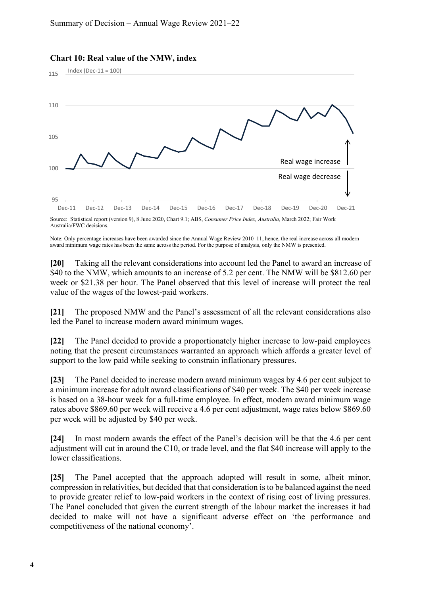

#### **Chart 10: Real value of the NMW, index**

Index (Dec-11 = 100)

Source: Statistical report (version 9), 8 June 2020, Chart 9.1; ABS, *Consumer Price Index, Australia,* March 2022; Fair Work Australia/FWC decisions*.*

Note: Only percentage increases have been awarded since the Annual Wage Review 2010–11, hence, the real increase across all modern award minimum wage rates has been the same across the period. For the purpose of analysis, only the NMW is presented.

**[20]** Taking all the relevant considerations into account led the Panel to award an increase of \$40 to the NMW, which amounts to an increase of 5.2 per cent. The NMW will be \$812.60 per week or \$21.38 per hour. The Panel observed that this level of increase will protect the real value of the wages of the lowest-paid workers.

**[21]** The proposed NMW and the Panel's assessment of all the relevant considerations also led the Panel to increase modern award minimum wages.

**[22]** The Panel decided to provide a proportionately higher increase to low-paid employees noting that the present circumstances warranted an approach which affords a greater level of support to the low paid while seeking to constrain inflationary pressures.

**[23]** The Panel decided to increase modern award minimum wages by 4.6 per cent subject to a minimum increase for adult award classifications of \$40 per week. The \$40 per week increase is based on a 38-hour week for a full-time employee. In effect, modern award minimum wage rates above \$869.60 per week will receive a 4.6 per cent adjustment, wage rates below \$869.60 per week will be adjusted by \$40 per week.

**[24]** In most modern awards the effect of the Panel's decision will be that the 4.6 per cent adjustment will cut in around the C10, or trade level, and the flat \$40 increase will apply to the lower classifications.

**[25]** The Panel accepted that the approach adopted will result in some, albeit minor, compression in relativities, but decided that that consideration is to be balanced against the need to provide greater relief to low-paid workers in the context of rising cost of living pressures. The Panel concluded that given the current strength of the labour market the increases it had decided to make will not have a significant adverse effect on 'the performance and competitiveness of the national economy'.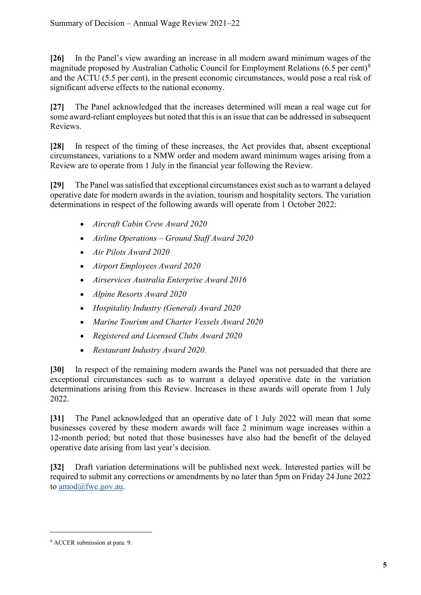**[26]** In the Panel's view awarding an increase in all modern award minimum wages of the magnitude proposed by Australian Catholic Council for Employment Relations (6.5 per cent)<sup>[8](#page-4-0)</sup> and the ACTU (5.5 per cent), in the present economic circumstances, would pose a real risk of significant adverse effects to the national economy.

**[27]** The Panel acknowledged that the increases determined will mean a real wage cut for some award-reliant employees but noted that this is an issue that can be addressed in subsequent Reviews.

**[28]** In respect of the timing of these increases, the Act provides that, absent exceptional circumstances, variations to a NMW order and modern award minimum wages arising from a Review are to operate from 1 July in the financial year following the Review.

**[29]** The Panel wassatisfied that exceptional circumstances exist such as to warrant a delayed operative date for modern awards in the aviation, tourism and hospitality sectors. The variation determinations in respect of the following awards will operate from 1 October 2022:

- *Aircraft Cabin Crew Award 2020*
- *Airline Operations Ground Staff Award 2020*
- *Air Pilots Award 2020*
- *Airport Employees Award 2020*
- *Airservices Australia Enterprise Award 2016*
- *Alpine Resorts Award 2020*
- *Hospitality Industry (General) Award 2020*
- *Marine Tourism and Charter Vessels Award 2020*
- *Registered and Licensed Clubs Award 2020*
- *Restaurant Industry Award 2020.*

**[30]** In respect of the remaining modern awards the Panel was not persuaded that there are exceptional circumstances such as to warrant a delayed operative date in the variation determinations arising from this Review. Increases in these awards will operate from 1 July 2022.

**[31]** The Panel acknowledged that an operative date of 1 July 2022 will mean that some businesses covered by these modern awards will face 2 minimum wage increases within a 12-month period; but noted that those businesses have also had the benefit of the delayed operative date arising from last year's decision.

**[32]** Draft variation determinations will be published next week. Interested parties will be required to submit any corrections or amendments by no later than 5pm on Friday 24 June 2022 to [amod@fwc.gov.au.](mailto:amod@fwc.gov.au)

<span id="page-4-0"></span><sup>8</sup> ACCER submission at para. 9.